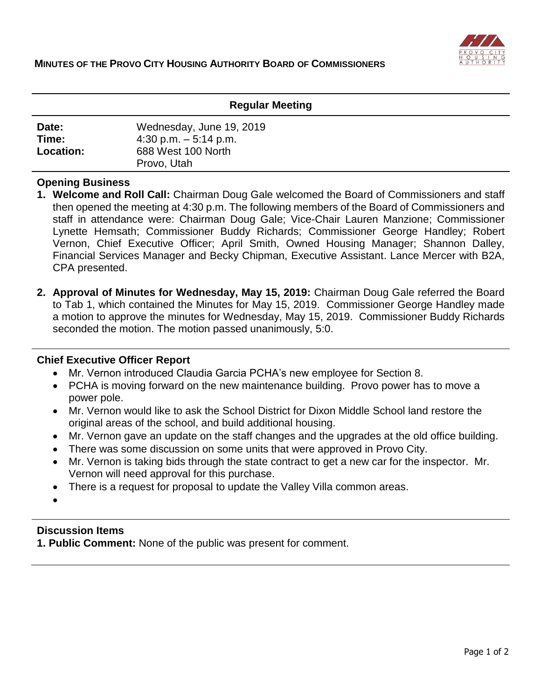

## **Regular Meeting**

| Date:            | Wednesday, June 19, 2019          |
|------------------|-----------------------------------|
| Time:            | $4:30$ p.m. $-5:14$ p.m.          |
| <b>Location:</b> | 688 West 100 North<br>Provo, Utah |

## **Opening Business**

- **1. Welcome and Roll Call:** Chairman Doug Gale welcomed the Board of Commissioners and staff then opened the meeting at 4:30 p.m. The following members of the Board of Commissioners and staff in attendance were: Chairman Doug Gale; Vice-Chair Lauren Manzione; Commissioner Lynette Hemsath; Commissioner Buddy Richards; Commissioner George Handley; Robert Vernon, Chief Executive Officer; April Smith, Owned Housing Manager; Shannon Dalley, Financial Services Manager and Becky Chipman, Executive Assistant. Lance Mercer with B2A, CPA presented.
- **2. Approval of Minutes for Wednesday, May 15, 2019:** Chairman Doug Gale referred the Board to Tab 1, which contained the Minutes for May 15, 2019. Commissioner George Handley made a motion to approve the minutes for Wednesday, May 15, 2019. Commissioner Buddy Richards seconded the motion. The motion passed unanimously, 5:0.

#### **Chief Executive Officer Report**

- Mr. Vernon introduced Claudia Garcia PCHA's new employee for Section 8.
- PCHA is moving forward on the new maintenance building. Provo power has to move a power pole.
- Mr. Vernon would like to ask the School District for Dixon Middle School land restore the original areas of the school, and build additional housing.
- Mr. Vernon gave an update on the staff changes and the upgrades at the old office building.
- There was some discussion on some units that were approved in Provo City.
- Mr. Vernon is taking bids through the state contract to get a new car for the inspector. Mr. Vernon will need approval for this purchase.
- There is a request for proposal to update the Valley Villa common areas.
- $\bullet$

# **Discussion Items**

**1. Public Comment:** None of the public was present for comment.